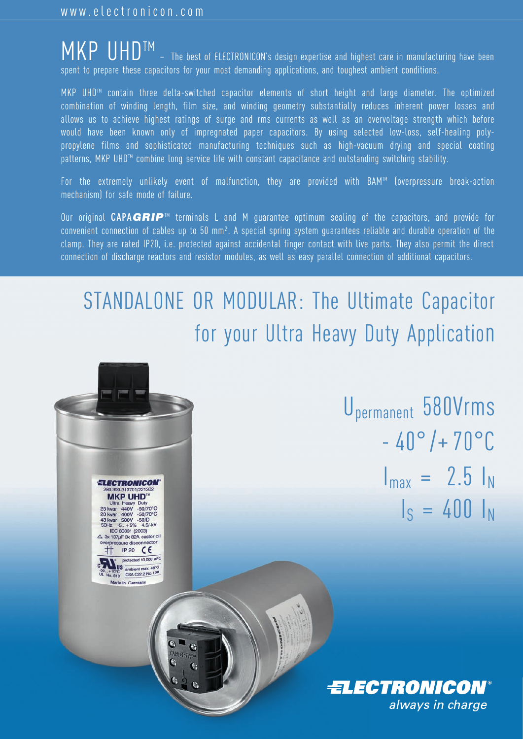**ELECTRONICON® MKP UHD** 

Ultra Heavy Duty<br>
5 kvar 440V -50/70°C<br>
0 kvar 400V -50/70°C<br>
3 kvar 580V -50/D<br>
50Hz -5...+5% 4.5/-kV IEC 60831 (2003) 137µF 3x 82A castor oil **re** disconn  $\epsilon$ **IP 20** 

ade in German

d 10,000 AFC

MKP UHD<sup>TM</sup> – The best of ELECTRONICON's design expertise and highest care in manufacturing have been spent to prepare these capacitors for your most demanding applications, and toughest ambient conditions.

MKP UHD<sup>M</sup> contain three delta-switched capacitor elements of short height and large diameter. The optimized combination of winding length, film size, and winding geometry substantially reduces inherent power losses and allows us to achieve highest ratings of surge and rms currents as well as an overvoltage strength which before would have been known only of impregnated paper capacitors. By using selected low-loss, self-healing polypropylene films and sophisticated manufacturing techniques such as high-vacuum drying and special coating patterns, MKP UHD<sup>TM</sup> combine long service life with constant capacitance and outstanding switching stability.

For the extremely unlikely event of malfunction, they are provided with BAMTM (overpressure break-action mechanism) for safe mode of failure.

Our original CAPA*GRIP*<sup>™</sup> terminals L and M guarantee optimum sealing of the capacitors, and provide for convenient connection of cables up to 50 mm². A special spring system guarantees reliable and durable operation of the clamp. They are rated IP20, i.e. protected against accidental finger contact with live parts. They also permit the direct connection of discharge reactors and resistor modules, as well as easy parallel connection of additional capacitors.

# STANDALONE OR MODULAR: The Ultimate Capacitor for your Ultra Heavy Duty Application

Upermanent 580Vrms  $-40^{\circ}/+70^{\circ}$ C  $I_{\text{max}} = 2.5 I_{N}$  $I_S = 400 I_N$